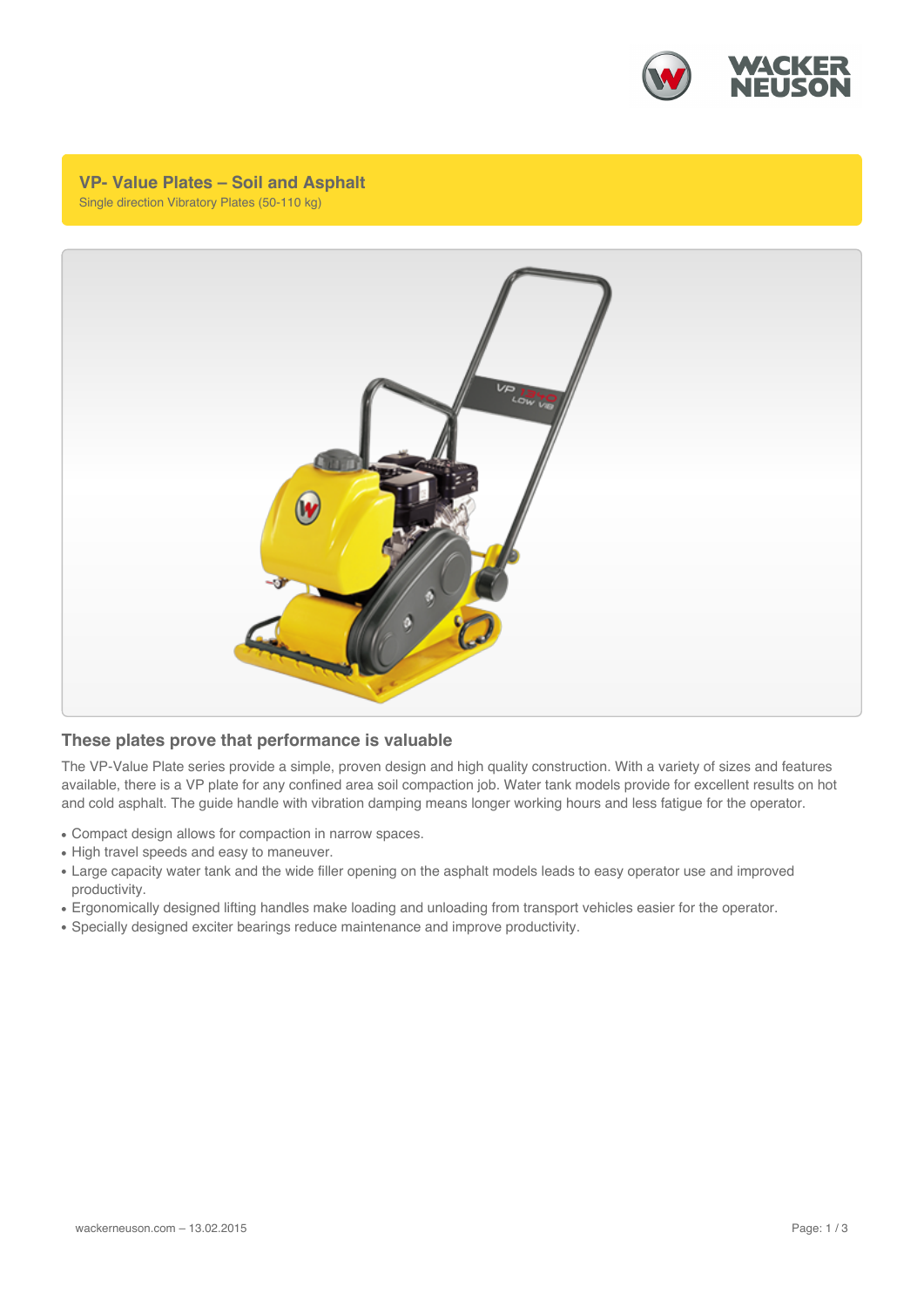

**VP- Value Plates – Soil and Asphalt** Single direction Vibratory Plates (50-110 kg)



## **These plates prove that performance is valuable**

The VP-Value Plate series provide a simple, proven design and high quality construction. With a variety of sizes and features available, there is a VP plate for any confined area soil compaction job. Water tank models provide for excellent results on hot and cold asphalt. The guide handle with vibration damping means longer working hours and less fatigue for the operator.

- Compact design allows for compaction in narrow spaces.
- High travel speeds and easy to maneuver.
- Large capacity water tank and the wide filler opening on the asphalt models leads to easy operator use and improved productivity.
- Ergonomically designed lifting handles make loading and unloading from transport vehicles easier for the operator.
- Specially designed exciter bearings reduce maintenance and improve productivity.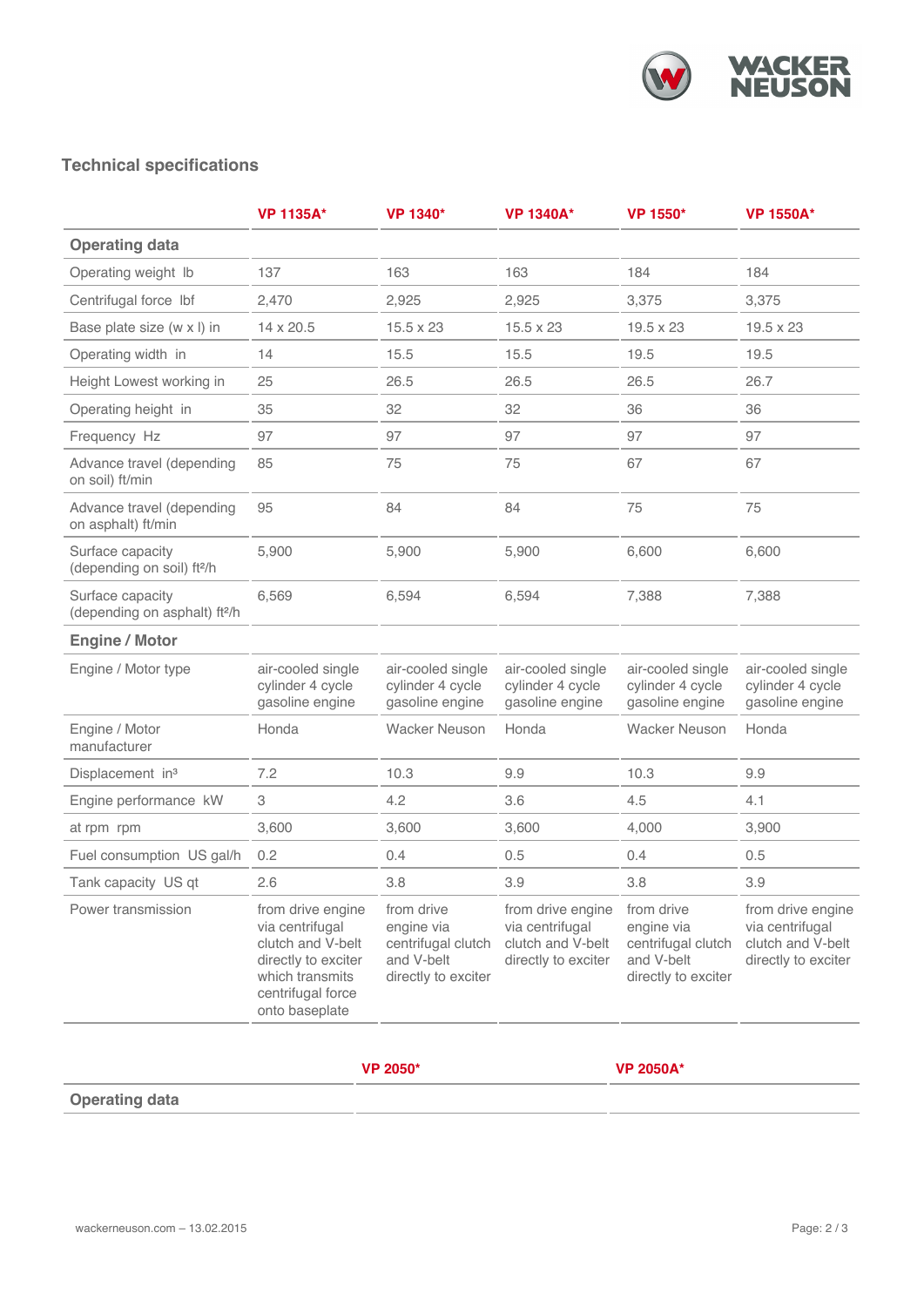

## **Technical specifications**

|                                                              | <b>VP 1135A*</b>                                                                                                                           | VP 1340*                                                                            | <b>VP 1340A*</b>                                                                 | VP 1550*                                                                            | <b>VP 1550A*</b>                                                                 |
|--------------------------------------------------------------|--------------------------------------------------------------------------------------------------------------------------------------------|-------------------------------------------------------------------------------------|----------------------------------------------------------------------------------|-------------------------------------------------------------------------------------|----------------------------------------------------------------------------------|
| <b>Operating data</b>                                        |                                                                                                                                            |                                                                                     |                                                                                  |                                                                                     |                                                                                  |
| Operating weight Ib                                          | 137                                                                                                                                        | 163                                                                                 | 163                                                                              | 184                                                                                 | 184                                                                              |
| Centrifugal force lbf                                        | 2,470                                                                                                                                      | 2,925                                                                               | 2,925                                                                            | 3,375                                                                               | 3,375                                                                            |
| Base plate size (w x l) in                                   | 14 x 20.5                                                                                                                                  | $15.5 \times 23$                                                                    | $15.5 \times 23$                                                                 | 19.5 x 23                                                                           | $19.5 \times 23$                                                                 |
| Operating width in                                           | 14                                                                                                                                         | 15.5                                                                                | 15.5                                                                             | 19.5                                                                                | 19.5                                                                             |
| Height Lowest working in                                     | 25                                                                                                                                         | 26.5                                                                                | 26.5                                                                             | 26.5                                                                                | 26.7                                                                             |
| Operating height in                                          | 35                                                                                                                                         | 32                                                                                  | 32                                                                               | 36                                                                                  | 36                                                                               |
| Frequency Hz                                                 | 97                                                                                                                                         | 97                                                                                  | 97                                                                               | 97                                                                                  | 97                                                                               |
| Advance travel (depending<br>on soil) ft/min                 | 85                                                                                                                                         | 75                                                                                  | 75                                                                               | 67                                                                                  | 67                                                                               |
| Advance travel (depending<br>on asphalt) ft/min              | 95                                                                                                                                         | 84                                                                                  | 84                                                                               | 75                                                                                  | 75                                                                               |
| Surface capacity<br>(depending on soil) ft <sup>2/h</sup>    | 5,900                                                                                                                                      | 5,900                                                                               | 5,900                                                                            | 6,600                                                                               | 6,600                                                                            |
| Surface capacity<br>(depending on asphalt) ft <sup>2/h</sup> | 6,569                                                                                                                                      | 6,594                                                                               | 6,594                                                                            | 7,388                                                                               | 7,388                                                                            |
| <b>Engine / Motor</b>                                        |                                                                                                                                            |                                                                                     |                                                                                  |                                                                                     |                                                                                  |
| Engine / Motor type                                          | air-cooled single<br>cylinder 4 cycle<br>gasoline engine                                                                                   | air-cooled single<br>cylinder 4 cycle<br>gasoline engine                            | air-cooled single<br>cylinder 4 cycle<br>gasoline engine                         | air-cooled single<br>cylinder 4 cycle<br>gasoline engine                            | air-cooled single<br>cylinder 4 cycle<br>gasoline engine                         |
| Engine / Motor<br>manufacturer                               | Honda                                                                                                                                      | <b>Wacker Neuson</b>                                                                | Honda                                                                            | <b>Wacker Neuson</b>                                                                | Honda                                                                            |
| Displacement in <sup>3</sup>                                 | 7.2                                                                                                                                        | 10.3                                                                                | 9.9                                                                              | 10.3                                                                                | 9.9                                                                              |
| Engine performance kW                                        | 3                                                                                                                                          | 4.2                                                                                 | 3.6                                                                              | 4.5                                                                                 | 4.1                                                                              |
| at rpm rpm                                                   | 3,600                                                                                                                                      | 3,600                                                                               | 3,600                                                                            | 4,000                                                                               | 3,900                                                                            |
| Fuel consumption US gal/h                                    | 0.2                                                                                                                                        | 0.4                                                                                 | 0.5                                                                              | 0.4                                                                                 | 0.5                                                                              |
| Tank capacity US qt                                          | 2.6                                                                                                                                        | 3.8                                                                                 | 3.9                                                                              | 3.8                                                                                 | 3.9                                                                              |
| Power transmission                                           | from drive engine<br>via centrifugal<br>clutch and V-belt<br>directly to exciter<br>which transmits<br>centrifugal force<br>onto baseplate | from drive<br>engine via<br>centrifugal clutch<br>and V-belt<br>directly to exciter | from drive engine<br>via centrifugal<br>clutch and V-belt<br>directly to exciter | from drive<br>engine via<br>centrifugal clutch<br>and V-belt<br>directly to exciter | from drive engine<br>via centrifugal<br>clutch and V-belt<br>directly to exciter |

**VP 2050\* VP 2050A\***

## **Operating data**